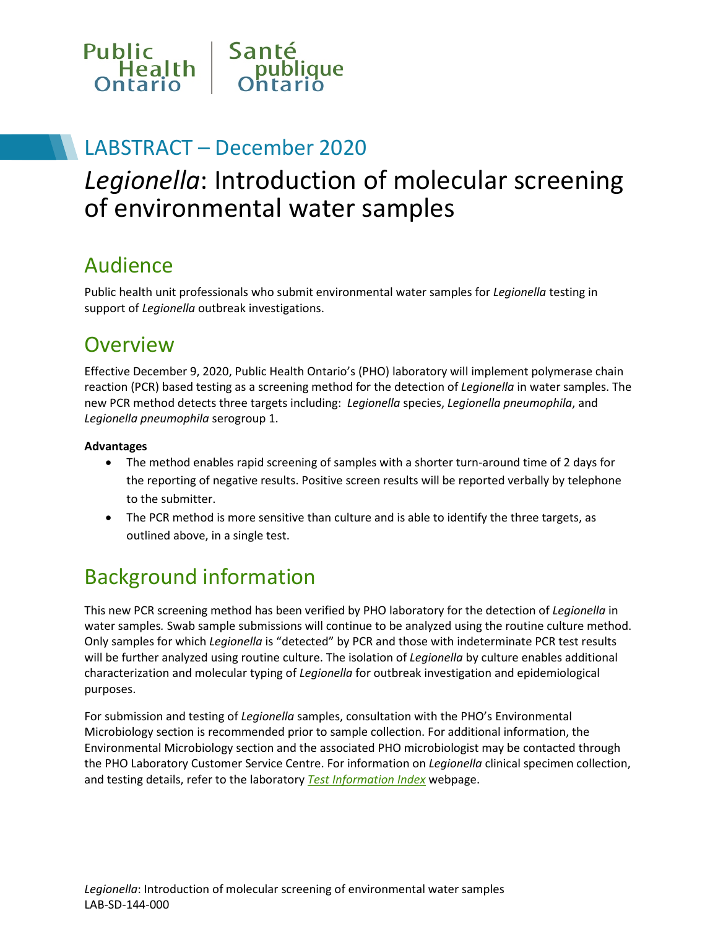

## LABSTRACT – December 2020

# *Legionella*: Introduction of molecular screening of environmental water samples

## Audience

Public health unit professionals who submit environmental water samples for *Legionella* testing in support of *Legionella* outbreak investigations.

## **Overview**

Effective December 9, 2020, Public Health Ontario's (PHO) laboratory will implement polymerase chain reaction (PCR) based testing as a screening method for the detection of *Legionella* in water samples. The new PCR method detects three targets including: *Legionella* species, *Legionella pneumophila*, and *Legionella pneumophila* serogroup 1.

#### **Advantages**

- The method enables rapid screening of samples with a shorter turn-around time of 2 days for the reporting of negative results. Positive screen results will be reported verbally by telephone to the submitter.
- The PCR method is more sensitive than culture and is able to identify the three targets, as outlined above, in a single test.

# Background information

This new PCR screening method has been verified by PHO laboratory for the detection of *Legionella* in water samples*.* Swab sample submissions will continue to be analyzed using the routine culture method. Only samples for which *Legionella* is "detected" by PCR and those with indeterminate PCR test results will be further analyzed using routine culture. The isolation of *Legionella* by culture enables additional characterization and molecular typing of *Legionella* for outbreak investigation and epidemiological purposes.

For submission and testing of *Legionella* samples, consultation with the PHO's Environmental Microbiology section is recommended prior to sample collection. For additional information, the Environmental Microbiology section and the associated PHO microbiologist may be contacted through the PHO Laboratory Customer Service Centre. For information on *Legionella* clinical specimen collection, and testing details, refer to the laboratory *[Test Information Index](https://www.publichealthontario.ca/en/laboratory-services/test-information-index)* webpage.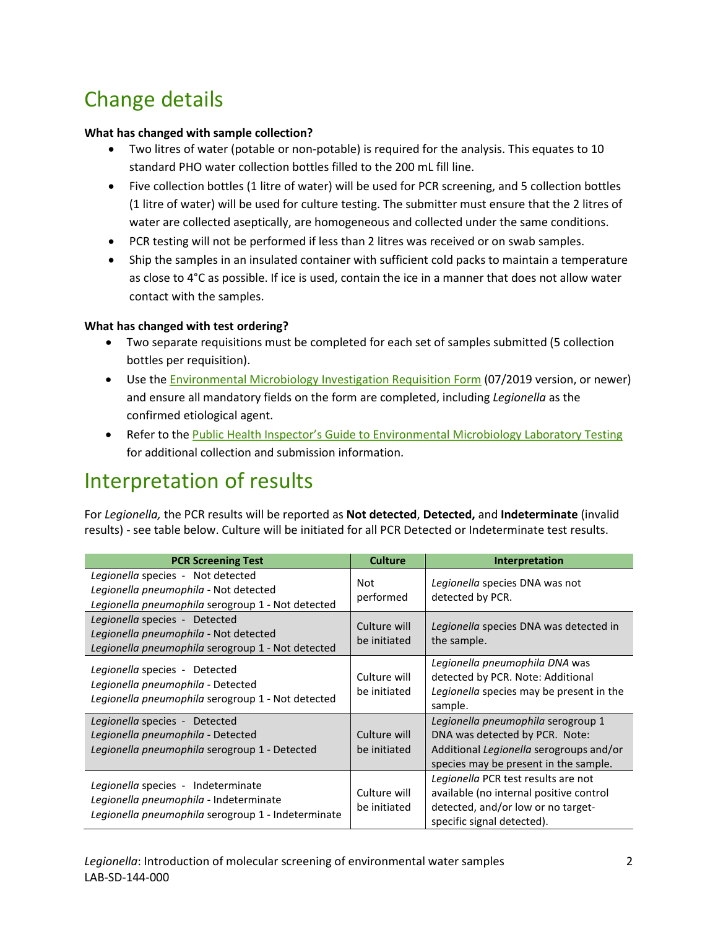# Change details

#### **What has changed with sample collection?**

- Two litres of water (potable or non-potable) is required for the analysis. This equates to 10 standard PHO water collection bottles filled to the 200 mL fill line.
- Five collection bottles (1 litre of water) will be used for PCR screening, and 5 collection bottles (1 litre of water) will be used for culture testing. The submitter must ensure that the 2 litres of water are collected aseptically, are homogeneous and collected under the same conditions.
- PCR testing will not be performed if less than 2 litres was received or on swab samples.
- Ship the samples in an insulated container with sufficient cold packs to maintain a temperature as close to 4°C as possible. If ice is used, contain the ice in a manner that does not allow water contact with the samples.

### **What has changed with test ordering?**

- Two separate requisitions must be completed for each set of samples submitted (5 collection bottles per requisition).
- Use the **[Environmental Microbiology Investigation Requisition Form](https://www.publichealthontario.ca/-/media/documents/lab/environmental-bacteriology-swabs.pdf?la=en) (07/2019 version, or newer)** and ensure all mandatory fields on the form are completed, including *Legionella* as the confirmed etiological agent.
- Refer to the [Public Health Inspector's Guide to Environmental Microbiology Laboratory Testing](https://www.publichealthontario.ca/en/laboratory-services/public-health-inspectors-guide) for additional collection and submission information.

## Interpretation of results

For *Legionella,* the PCR results will be reported as **Not detected**, **Detected,** and **Indeterminate** (invalid results) - see table below. Culture will be initiated for all PCR Detected or Indeterminate test results.

| <b>PCR Screening Test</b>                                                                                                          | <b>Culture</b>               | <b>Interpretation</b>                                                                                                                                    |
|------------------------------------------------------------------------------------------------------------------------------------|------------------------------|----------------------------------------------------------------------------------------------------------------------------------------------------------|
| Legionella species - Not detected<br>Legionella pneumophila - Not detected<br>Legionella pneumophila serogroup 1 - Not detected    | <b>Not</b><br>performed      | Legionella species DNA was not<br>detected by PCR.                                                                                                       |
| Legionella species - Detected<br>Legionella pneumophila - Not detected<br>Legionella pneumophila serogroup 1 - Not detected        | Culture will<br>be initiated | Legionella species DNA was detected in<br>the sample.                                                                                                    |
| Legionella species - Detected<br>Legionella pneumophila - Detected<br>Legionella pneumophila serogroup 1 - Not detected            | Culture will<br>be initiated | Legionella pneumophila DNA was<br>detected by PCR. Note: Additional<br>Legionella species may be present in the<br>sample.                               |
| Legionella species - Detected<br>Legionella pneumophila - Detected<br>Legionella pneumophila serogroup 1 - Detected                | Culture will<br>be initiated | Legionella pneumophila serogroup 1<br>DNA was detected by PCR. Note:<br>Additional Legionella serogroups and/or<br>species may be present in the sample. |
| Legionella species - Indeterminate<br>Legionella pneumophila - Indeterminate<br>Legionella pneumophila serogroup 1 - Indeterminate | Culture will<br>be initiated | Legionella PCR test results are not<br>available (no internal positive control<br>detected, and/or low or no target-<br>specific signal detected).       |